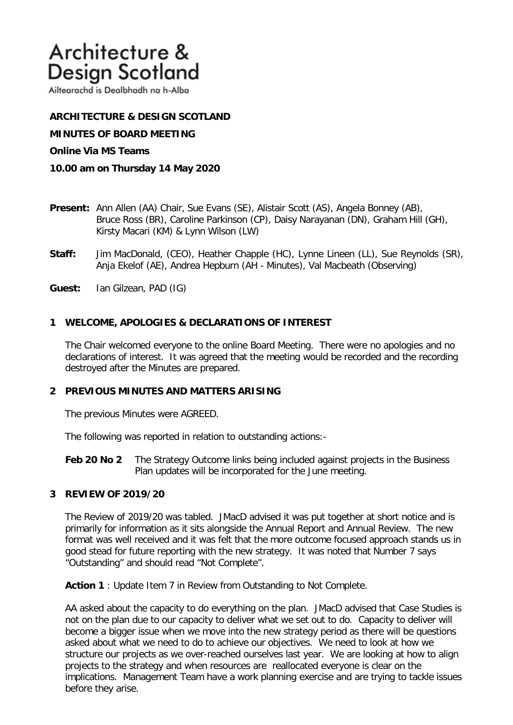# Architecture & **Design Scotland**

Ailtearachd is Dealbhadh na h-Alba

# **ARCHITECTURE & DESIGN SCOTLAND**

**MINUTES OF BOARD MEETING** 

### **Online Via MS Teams**

- **10.00 am on Thursday 14 May 2020**
- **Present:** Ann Allen (AA) Chair, Sue Evans (SE), Alistair Scott (AS), Angela Bonney (AB), Bruce Ross (BR), Caroline Parkinson (CP), Daisy Narayanan (DN), Graham Hill (GH), Kirsty Macari (KM) & Lynn Wilson (LW)
- **Staff:** Jim MacDonald, (CEO), Heather Chapple (HC), Lynne Lineen (LL), Sue Reynolds (SR), Anja Ekelof (AE), Andrea Hepburn (AH - Minutes), Val Macbeath (Observing)
- **Guest:** Ian Gilzean, PAD (IG)

# **1 WELCOME, APOLOGIES & DECLARATIONS OF INTEREST**

The Chair welcomed everyone to the online Board Meeting. There were no apologies and no declarations of interest. It was agreed that the meeting would be recorded and the recording destroyed after the Minutes are prepared.

## **2 PREVIOUS MINUTES AND MATTERS ARISING**

The previous Minutes were AGREED.

The following was reported in relation to outstanding actions:-

**Feb 20 No 2** The Strategy Outcome links being included against projects in the Business Plan updates will be incorporated for the June meeting.

## **3 REVIEW OF 2019/20**

The Review of 2019/20 was tabled. JMacD advised it was put together at short notice and is primarily for information as it sits alongside the Annual Report and Annual Review. The new format was well received and it was felt that the more outcome focused approach stands us in good stead for future reporting with the new strategy. It was noted that Number 7 says "Outstanding" and should read "Not Complete".

Action 1 : Update Item 7 in Review from Outstanding to Not Complete.

AA asked about the capacity to do everything on the plan. JMacD advised that Case Studies is not on the plan due to our capacity to deliver what we set out to do. Capacity to deliver will become a bigger issue when we move into the new strategy period as there will be questions asked about what we need to do to achieve our objectives. We need to look at how we structure our projects as we over-reached ourselves last year. We are looking at how to align projects to the strategy and when resources are reallocated everyone is clear on the implications. Management Team have a work planning exercise and are trying to tackle issues before they arise.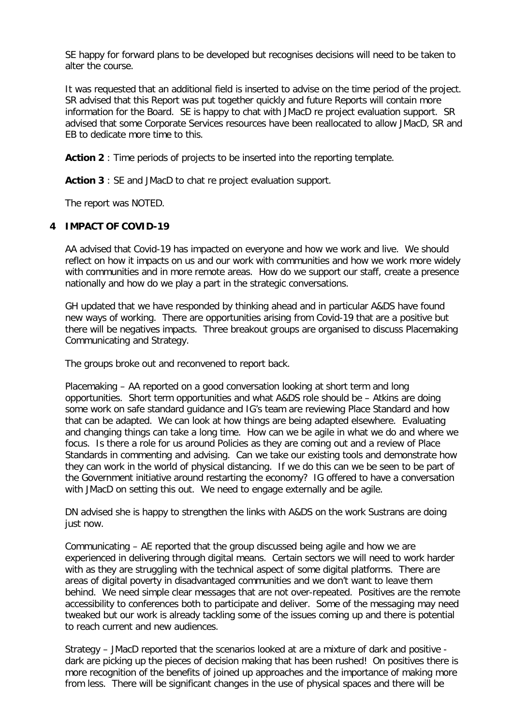SE happy for forward plans to be developed but recognises decisions will need to be taken to alter the course.

It was requested that an additional field is inserted to advise on the time period of the project. SR advised that this Report was put together quickly and future Reports will contain more information for the Board. SE is happy to chat with JMacD re project evaluation support. SR advised that some Corporate Services resources have been reallocated to allow JMacD, SR and EB to dedicate more time to this.

**Action 2** : Time periods of projects to be inserted into the reporting template.

**Action 3** : SE and JMacD to chat re project evaluation support.

The report was NOTED.

# **4 IMPACT OF COVID-19**

AA advised that Covid-19 has impacted on everyone and how we work and live. We should reflect on how it impacts on us and our work with communities and how we work more widely with communities and in more remote areas. How do we support our staff, create a presence nationally and how do we play a part in the strategic conversations.

GH updated that we have responded by thinking ahead and in particular A&DS have found new ways of working. There are opportunities arising from Covid-19 that are a positive but there will be negatives impacts. Three breakout groups are organised to discuss Placemaking Communicating and Strategy.

The groups broke out and reconvened to report back.

Placemaking – AA reported on a good conversation looking at short term and long opportunities. Short term opportunities and what A&DS role should be – Atkins are doing some work on safe standard guidance and IG's team are reviewing Place Standard and how that can be adapted. We can look at how things are being adapted elsewhere. Evaluating and changing things can take a long time. How can we be agile in what we do and where we focus. Is there a role for us around Policies as they are coming out and a review of Place Standards in commenting and advising. Can we take our existing tools and demonstrate how they can work in the world of physical distancing. If we do this can we be seen to be part of the Government initiative around restarting the economy? IG offered to have a conversation with JMacD on setting this out. We need to engage externally and be agile.

DN advised she is happy to strengthen the links with A&DS on the work Sustrans are doing just now.

Communicating – AE reported that the group discussed being agile and how we are experienced in delivering through digital means. Certain sectors we will need to work harder with as they are struggling with the technical aspect of some digital platforms. There are areas of digital poverty in disadvantaged communities and we don't want to leave them behind. We need simple clear messages that are not over-repeated. Positives are the remote accessibility to conferences both to participate and deliver. Some of the messaging may need tweaked but our work is already tackling some of the issues coming up and there is potential to reach current and new audiences.

Strategy – JMacD reported that the scenarios looked at are a mixture of dark and positive dark are picking up the pieces of decision making that has been rushed! On positives there is more recognition of the benefits of joined up approaches and the importance of making more from less. There will be significant changes in the use of physical spaces and there will be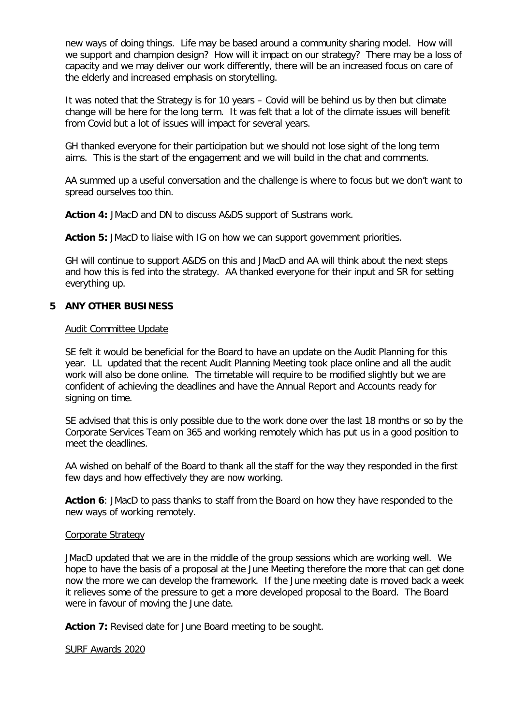new ways of doing things. Life may be based around a community sharing model. How will we support and champion design? How will it impact on our strategy? There may be a loss of capacity and we may deliver our work differently, there will be an increased focus on care of the elderly and increased emphasis on storytelling.

It was noted that the Strategy is for 10 years – Covid will be behind us by then but climate change will be here for the long term. It was felt that a lot of the climate issues will benefit from Covid but a lot of issues will impact for several years.

GH thanked everyone for their participation but we should not lose sight of the long term aims. This is the start of the engagement and we will build in the chat and comments.

AA summed up a useful conversation and the challenge is where to focus but we don't want to spread ourselves too thin.

**Action 4:** JMacD and DN to discuss A&DS support of Sustrans work.

**Action 5:** JMacD to liaise with IG on how we can support government priorities.

GH will continue to support A&DS on this and JMacD and AA will think about the next steps and how this is fed into the strategy. AA thanked everyone for their input and SR for setting everything up.

## **5 ANY OTHER BUSINESS**

### Audit Committee Update

SE felt it would be beneficial for the Board to have an update on the Audit Planning for this year. LL updated that the recent Audit Planning Meeting took place online and all the audit work will also be done online. The timetable will require to be modified slightly but we are confident of achieving the deadlines and have the Annual Report and Accounts ready for signing on time.

SE advised that this is only possible due to the work done over the last 18 months or so by the Corporate Services Team on 365 and working remotely which has put us in a good position to meet the deadlines.

AA wished on behalf of the Board to thank all the staff for the way they responded in the first few days and how effectively they are now working.

**Action 6**: JMacD to pass thanks to staff from the Board on how they have responded to the new ways of working remotely.

#### Corporate Strategy

JMacD updated that we are in the middle of the group sessions which are working well. We hope to have the basis of a proposal at the June Meeting therefore the more that can get done now the more we can develop the framework. If the June meeting date is moved back a week it relieves some of the pressure to get a more developed proposal to the Board. The Board were in favour of moving the June date.

Action 7: Revised date for June Board meeting to be sought.

#### SURF Awards 2020